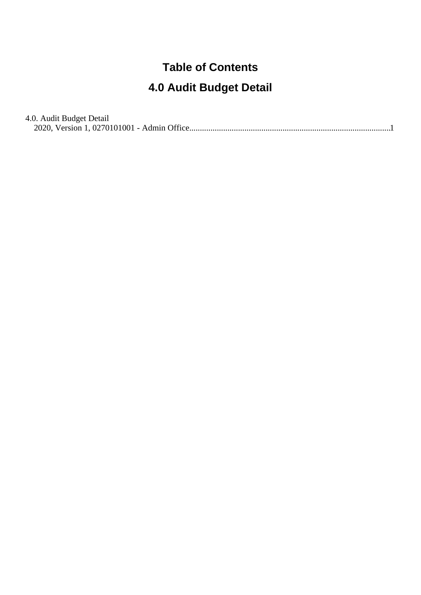#### **Table of Contents**

#### **4.0 Audit Budget Detail**

4.0. Audit Budget Detail [2020, Version 1, 0270101001 - Admin Office..............................................................................................](#page-1-0).1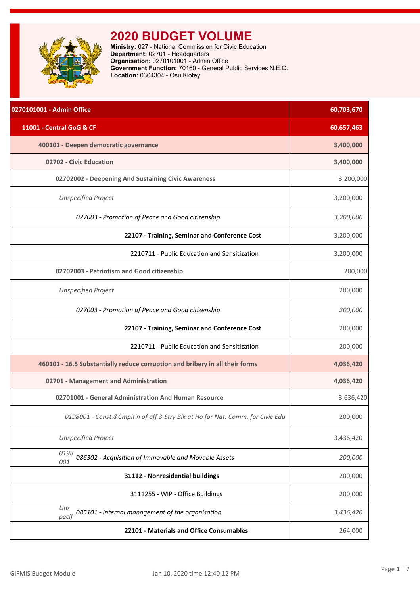<span id="page-1-0"></span>

| 0270101001 - Admin Office                                                      | 60,703,670 |
|--------------------------------------------------------------------------------|------------|
| 11001 - Central GoG & CF                                                       | 60,657,463 |
| 400101 - Deepen democratic governance                                          | 3,400,000  |
| 02702 - Civic Education                                                        | 3,400,000  |
| 02702002 - Deepening And Sustaining Civic Awareness                            | 3,200,000  |
| <b>Unspecified Project</b>                                                     | 3,200,000  |
| 027003 - Promotion of Peace and Good citizenship                               | 3,200,000  |
| 22107 - Training, Seminar and Conference Cost                                  | 3,200,000  |
| 2210711 - Public Education and Sensitization                                   | 3,200,000  |
| 02702003 - Patriotism and Good citizenship                                     | 200,000    |
| <b>Unspecified Project</b>                                                     | 200,000    |
| 027003 - Promotion of Peace and Good citizenship                               | 200,000    |
| 22107 - Training, Seminar and Conference Cost                                  | 200,000    |
| 2210711 - Public Education and Sensitization                                   | 200,000    |
| 460101 - 16.5 Substantially reduce corruption and bribery in all their forms   | 4,036,420  |
| 02701 - Management and Administration                                          | 4,036,420  |
| 02701001 - General Administration And Human Resource                           | 3,636,420  |
| 0198001 - Const.& Cmplt'n of off 3-Stry Blk at Ho for Nat. Comm. for Civic Edu | 200,000    |
| <b>Unspecified Project</b>                                                     | 3,436,420  |
| 0198<br>086302 - Acquisition of Immovable and Movable Assets<br>001            | 200,000    |
| 31112 - Nonresidential buildings                                               | 200,000    |
| 3111255 - WIP - Office Buildings                                               | 200,000    |
| Uns<br>085101 - Internal management of the organisation<br>pecif               | 3,436,420  |
| 22101 - Materials and Office Consumables                                       | 264,000    |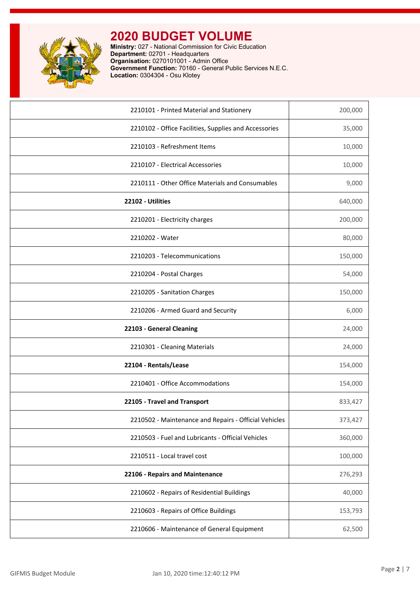

| 2210101 - Printed Material and Stationery             | 200,000 |
|-------------------------------------------------------|---------|
| 2210102 - Office Facilities, Supplies and Accessories | 35,000  |
| 2210103 - Refreshment Items                           | 10,000  |
| 2210107 - Electrical Accessories                      | 10,000  |
| 2210111 - Other Office Materials and Consumables      | 9,000   |
| 22102 - Utilities                                     | 640,000 |
| 2210201 - Electricity charges                         | 200,000 |
| 2210202 - Water                                       | 80,000  |
| 2210203 - Telecommunications                          | 150,000 |
| 2210204 - Postal Charges                              | 54,000  |
| 2210205 - Sanitation Charges                          | 150,000 |
| 2210206 - Armed Guard and Security                    | 6,000   |
| 22103 - General Cleaning                              | 24,000  |
| 2210301 - Cleaning Materials                          | 24,000  |
| 22104 - Rentals/Lease                                 | 154,000 |
| 2210401 - Office Accommodations                       | 154,000 |
| 22105 - Travel and Transport                          | 833,427 |
| 2210502 - Maintenance and Repairs - Official Vehicles | 373,427 |
| 2210503 - Fuel and Lubricants - Official Vehicles     | 360,000 |
| 2210511 - Local travel cost                           | 100,000 |
| 22106 - Repairs and Maintenance                       | 276,293 |
| 2210602 - Repairs of Residential Buildings            | 40,000  |
| 2210603 - Repairs of Office Buildings                 | 153,793 |
| 2210606 - Maintenance of General Equipment            | 62,500  |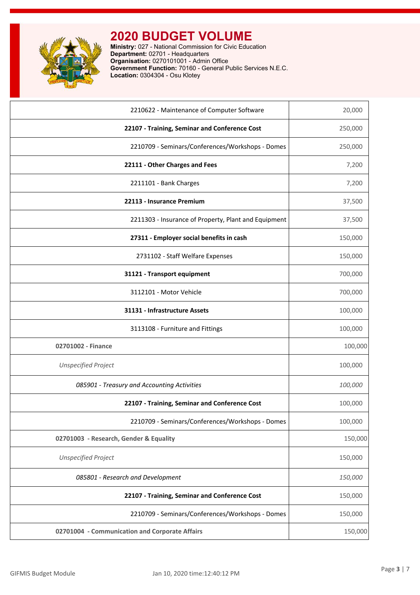

| 2210622 - Maintenance of Computer Software           | 20,000  |
|------------------------------------------------------|---------|
| 22107 - Training, Seminar and Conference Cost        | 250,000 |
| 2210709 - Seminars/Conferences/Workshops - Domes     | 250,000 |
| 22111 - Other Charges and Fees                       | 7,200   |
| 2211101 - Bank Charges                               | 7,200   |
| 22113 - Insurance Premium                            | 37,500  |
| 2211303 - Insurance of Property, Plant and Equipment | 37,500  |
| 27311 - Employer social benefits in cash             | 150,000 |
| 2731102 - Staff Welfare Expenses                     | 150,000 |
| 31121 - Transport equipment                          | 700,000 |
| 3112101 - Motor Vehicle                              | 700,000 |
| 31131 - Infrastructure Assets                        | 100,000 |
| 3113108 - Furniture and Fittings                     | 100,000 |
| 02701002 - Finance                                   | 100,000 |
| <b>Unspecified Project</b>                           | 100,000 |
| 085901 - Treasury and Accounting Activities          | 100,000 |
| 22107 - Training, Seminar and Conference Cost        | 100,000 |
| 2210709 - Seminars/Conferences/Workshops - Domes     | 100,000 |
| 02701003 - Research, Gender & Equality               | 150,000 |
| <b>Unspecified Project</b>                           | 150,000 |
| 085801 - Research and Development                    | 150,000 |
| 22107 - Training, Seminar and Conference Cost        | 150,000 |
| 2210709 - Seminars/Conferences/Workshops - Domes     | 150,000 |
| 02701004 - Communication and Corporate Affairs       | 150,000 |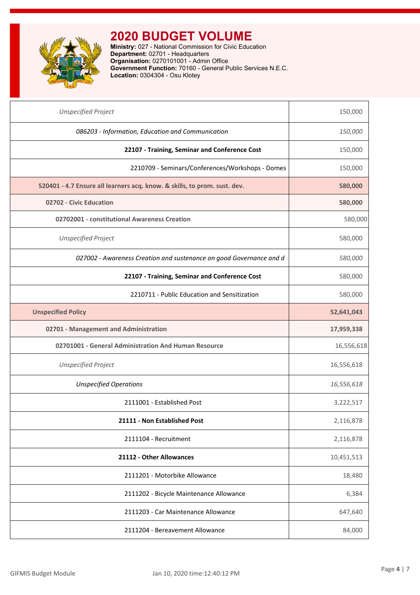

| <b>Unspecified Project</b>                                                | 150,000    |
|---------------------------------------------------------------------------|------------|
| 086203 - Information, Education and Communication                         | 150,000    |
| 22107 - Training, Seminar and Conference Cost                             | 150,000    |
| 2210709 - Seminars/Conferences/Workshops - Domes                          | 150,000    |
| 520401 - 4.7 Ensure all learners acq. know. & skills, to prom. sust. dev. | 580,000    |
| 02702 - Civic Education                                                   | 580,000    |
| 02702001 - constitutional Awareness Creation                              | 580,000    |
| <b>Unspecified Project</b>                                                | 580,000    |
| 027002 - Awareness Creation and sustenance on good Governance and d       | 580,000    |
| 22107 - Training, Seminar and Conference Cost                             | 580,000    |
| 2210711 - Public Education and Sensitization                              | 580,000    |
| <b>Unspecified Policy</b>                                                 | 52,641,043 |
| 02701 - Management and Administration                                     | 17,959,338 |
| 02701001 - General Administration And Human Resource                      | 16,556,618 |
| <b>Unspecified Project</b>                                                | 16,556,618 |
| <b>Unspecified Operations</b>                                             | 16,556,618 |
| 2111001 - Established Post                                                | 3,222,517  |
| 21111 - Non Established Post                                              | 2,116,878  |
| 2111104 - Recruitment                                                     | 2,116,878  |
| 21112 - Other Allowances                                                  | 10,451,513 |
| 2111201 - Motorbike Allowance                                             | 18,480     |
| 2111202 - Bicycle Maintenance Allowance                                   | 6,384      |
| 2111203 - Car Maintenance Allowance                                       | 647,640    |
| 2111204 - Bereavement Allowance                                           | 84,000     |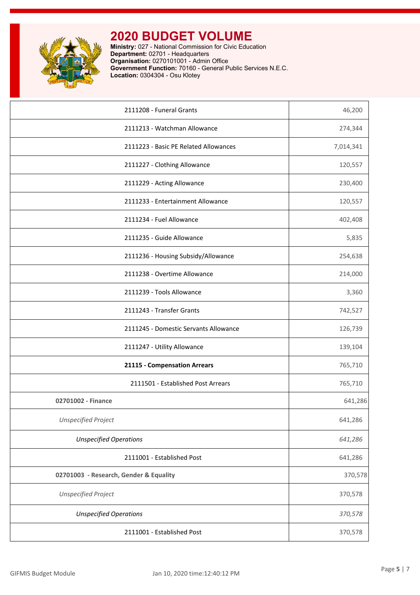

| 2111208 - Funeral Grants               | 46,200    |
|----------------------------------------|-----------|
| 2111213 - Watchman Allowance           | 274,344   |
| 2111223 - Basic PE Related Allowances  | 7,014,341 |
| 2111227 - Clothing Allowance           | 120,557   |
| 2111229 - Acting Allowance             | 230,400   |
| 2111233 - Entertainment Allowance      | 120,557   |
| 2111234 - Fuel Allowance               | 402,408   |
| 2111235 - Guide Allowance              | 5,835     |
| 2111236 - Housing Subsidy/Allowance    | 254,638   |
| 2111238 - Overtime Allowance           | 214,000   |
| 2111239 - Tools Allowance              | 3,360     |
| 2111243 - Transfer Grants              | 742,527   |
| 2111245 - Domestic Servants Allowance  | 126,739   |
| 2111247 - Utility Allowance            | 139,104   |
| 21115 - Compensation Arrears           | 765,710   |
| 2111501 - Established Post Arrears     | 765,710   |
| 02701002 - Finance                     | 641,286   |
| <b>Unspecified Project</b>             | 641,286   |
| <b>Unspecified Operations</b>          | 641,286   |
| 2111001 - Established Post             | 641,286   |
| 02701003 - Research, Gender & Equality | 370,578   |
| <b>Unspecified Project</b>             | 370,578   |
| <b>Unspecified Operations</b>          | 370,578   |
| 2111001 - Established Post             | 370,578   |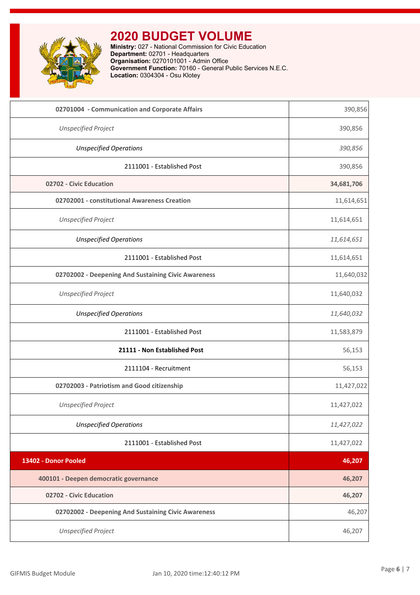

| 02701004 - Communication and Corporate Affairs      | 390,856    |
|-----------------------------------------------------|------------|
| <b>Unspecified Project</b>                          | 390,856    |
| <b>Unspecified Operations</b>                       | 390,856    |
| 2111001 - Established Post                          | 390,856    |
| 02702 - Civic Education                             | 34,681,706 |
| 02702001 - constitutional Awareness Creation        | 11,614,651 |
| <b>Unspecified Project</b>                          | 11,614,651 |
| <b>Unspecified Operations</b>                       | 11,614,651 |
| 2111001 - Established Post                          | 11,614,651 |
| 02702002 - Deepening And Sustaining Civic Awareness | 11,640,032 |
| <b>Unspecified Project</b>                          | 11,640,032 |
| <b>Unspecified Operations</b>                       | 11,640,032 |
| 2111001 - Established Post                          | 11,583,879 |
| 21111 - Non Established Post                        | 56,153     |
| 2111104 - Recruitment                               | 56,153     |
| 02702003 - Patriotism and Good citizenship          | 11,427,022 |
| <b>Unspecified Project</b>                          | 11,427,022 |
| <b>Unspecified Operations</b>                       | 11,427,022 |
| 2111001 - Established Post                          | 11,427,022 |
| 13402 - Donor Pooled                                | 46,207     |
| 400101 - Deepen democratic governance               | 46,207     |
| 02702 - Civic Education                             | 46,207     |
| 02702002 - Deepening And Sustaining Civic Awareness | 46,207     |
| <b>Unspecified Project</b>                          | 46,207     |